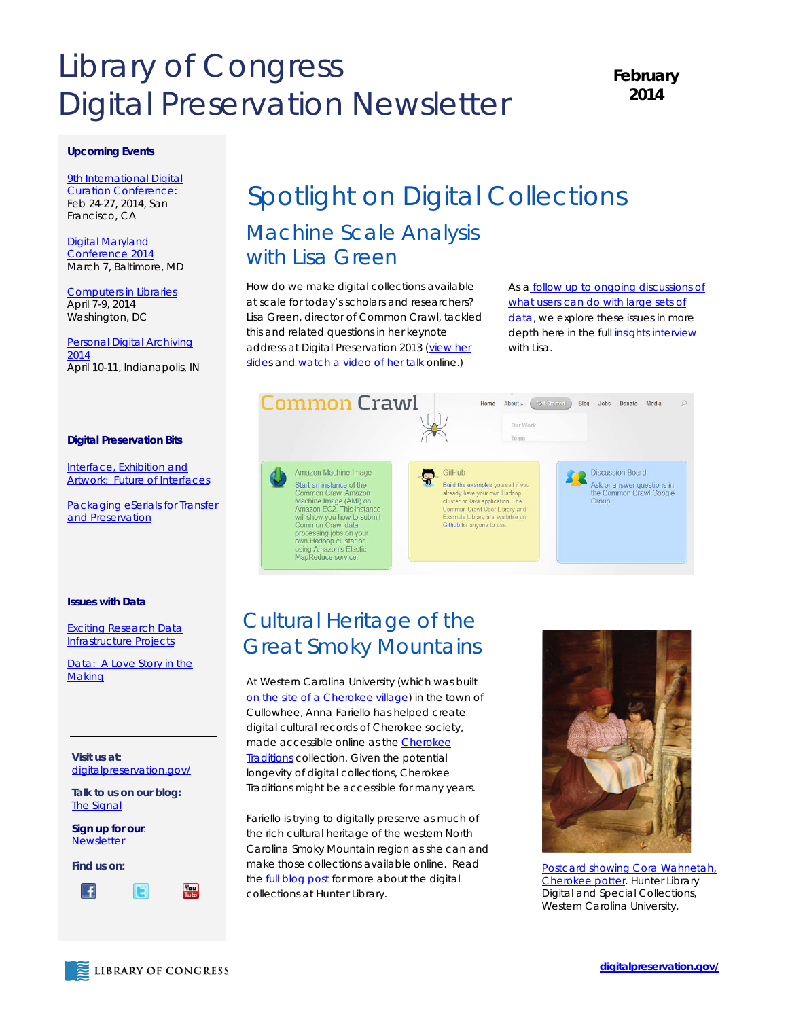# Library of Congress Digital Preservation Newsletter

### **February 2014**

#### **Upcoming Events**

**9th International Digital** [Curation Conference:](http://www.dcc.ac.uk/events/idcc14)  Feb 24-27, 2014, San Francisco, CA

[Digital Maryland](http://www.mdch.org/conference2014/)  [Conference 2014](http://www.mdch.org/conference2014/) March 7, Baltimore, MD

[Computers in Libraries](http://www.infotoday.com/cil2014/) April 7-9, 2014 Washington, DC

[Personal Digital Archiving](http://visions.indstate.edu/pda2014/)  [2014](http://visions.indstate.edu/pda2014/) April 10-11, Indianapolis, IN

### **Digital Preservation Bits**

[Interface, Exhibition and](http://blogs.loc.gov/digitalpreservation/2014/01/interface-exhibition-artwork-geocities-deleted-city-and-the-future-of-interfaces-to-digital-collections/)  [Artwork: Future of Interfaces](http://blogs.loc.gov/digitalpreservation/2014/01/interface-exhibition-artwork-geocities-deleted-city-and-the-future-of-interfaces-to-digital-collections/)

[Packaging eSerials for Transfer](http://blogs.loc.gov/digitalpreservation/2014/01/packaging-eserials-for-transfer-and-preservation/)  [and Preservation](http://blogs.loc.gov/digitalpreservation/2014/01/packaging-eserials-for-transfer-and-preservation/)

### **Issues with Data**

[Exciting Research Data](http://blogs.loc.gov/digitalpreservation/2014/01/two-new-exciting-research-data-infrastructure-projects-or-from-soup-to-nuts-and-back-maybe/)  [Infrastructure Projects](http://blogs.loc.gov/digitalpreservation/2014/01/two-new-exciting-research-data-infrastructure-projects-or-from-soup-to-nuts-and-back-maybe/)

[Data: A Love Story in the](http://blogs.loc.gov/digitalpreservation/2014/01/data-a-love-story-in-the-making/)  **[Making](http://blogs.loc.gov/digitalpreservation/2014/01/data-a-love-story-in-the-making/)** 

**Visit us at:**  [digitalpreservation.gov/](http://www.digitalpreservation.gov/)

**Talk to us on our blog:**  [The Signal](http://blogs.loc.gov/digitalpreservation/)

**Sign up for our**: [Newsletter](https://public.govdelivery.com/accounts/USLOC/subscriber/new?)

**Find us on:**



## Spotlight on Digital Collections *Machine Scale Analysis with Lisa Green*

How do we make digital collections available at scale for today's scholars and researchers? Lisa Green, director of Common Crawl, tackled this and related questions in her keynote address at Digital Preservation 2013 (view her [slides](http://www.digitalpreservation.gov/meetings/documents/ndiipp13/Green.pdf) an[d watch a video of her talk](http://www.youtube.com/watch?v=crcYHVXKDMU) online.)

As a follow up to ongoing discussions of what users [can do with large sets of](http://blogs.loc.gov/digitalpreservation/2014/01/interface-exhibition-artwork-geocities-deleted-city-and-the-future-of-interfaces-to-digital-collections/)  [data,](http://blogs.loc.gov/digitalpreservation/2014/01/interface-exhibition-artwork-geocities-deleted-city-and-the-future-of-interfaces-to-digital-collections/) we explore these issues in more depth here in the full *[insights interview](http://blogs.loc.gov/digitalpreservation/category/insights-interview/)* with Lisa.



### *Cultural Heritage of the Great Smoky Mountains*

At Western Carolina University (which was built [on the site of a Cherokee village\)](http://www.wcu.edu/pubinfo/news/mounddig.htm) in the town of Cullowhee, Anna Fariello has helped create digital cultural records of Cherokee society, made accessible online as the **Cherokee [Traditions](http://www.wcu.edu/library/DigitalCollections/CherokeeTraditions/)** collection. Given the potential longevity of digital collections, Cherokee Traditions might be accessible for many years.

Fariello is trying to digitally preserve as much of the rich cultural heritage of the western North Carolina Smoky Mountain region as she can and make those collections available online. Read the **full blog post** for more about the digital collections at Hunter Library.



*[Postcard showing Cora Wahnetah,](http://wcudigitalcollection.contentdm.oclc.org/cdm/singleitem/collection/p4008coll2/id/35/rec/1)  [Cherokee potter.](http://wcudigitalcollection.contentdm.oclc.org/cdm/singleitem/collection/p4008coll2/id/35/rec/1) Hunter Library Digital and Special Collections, Western Carolina University.*